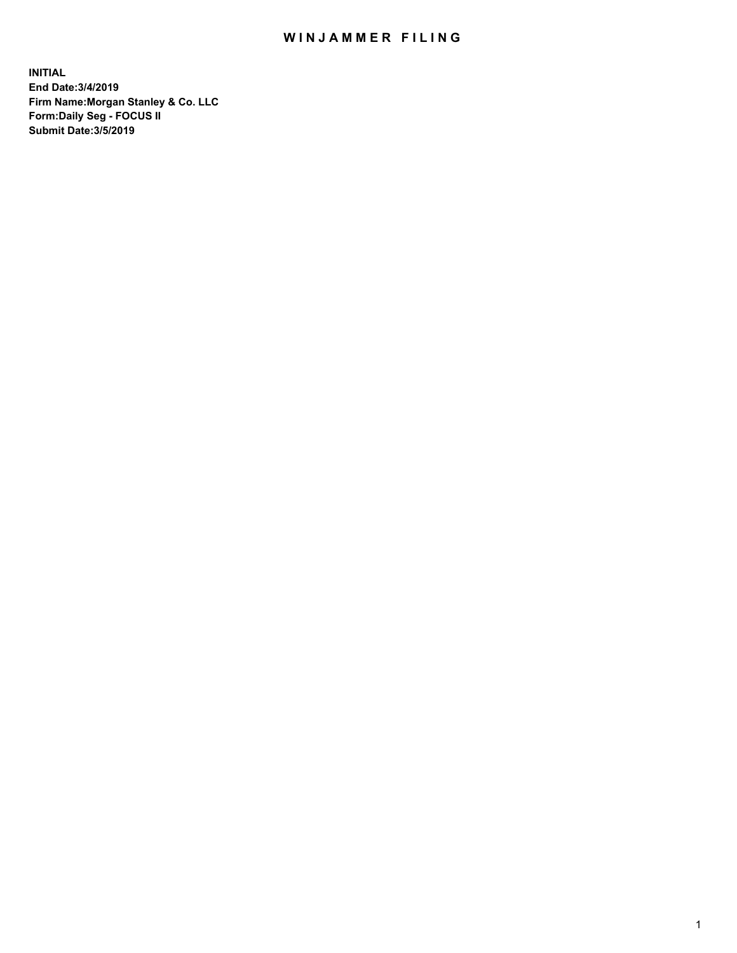## WIN JAMMER FILING

**INITIAL End Date:3/4/2019 Firm Name:Morgan Stanley & Co. LLC Form:Daily Seg - FOCUS II Submit Date:3/5/2019**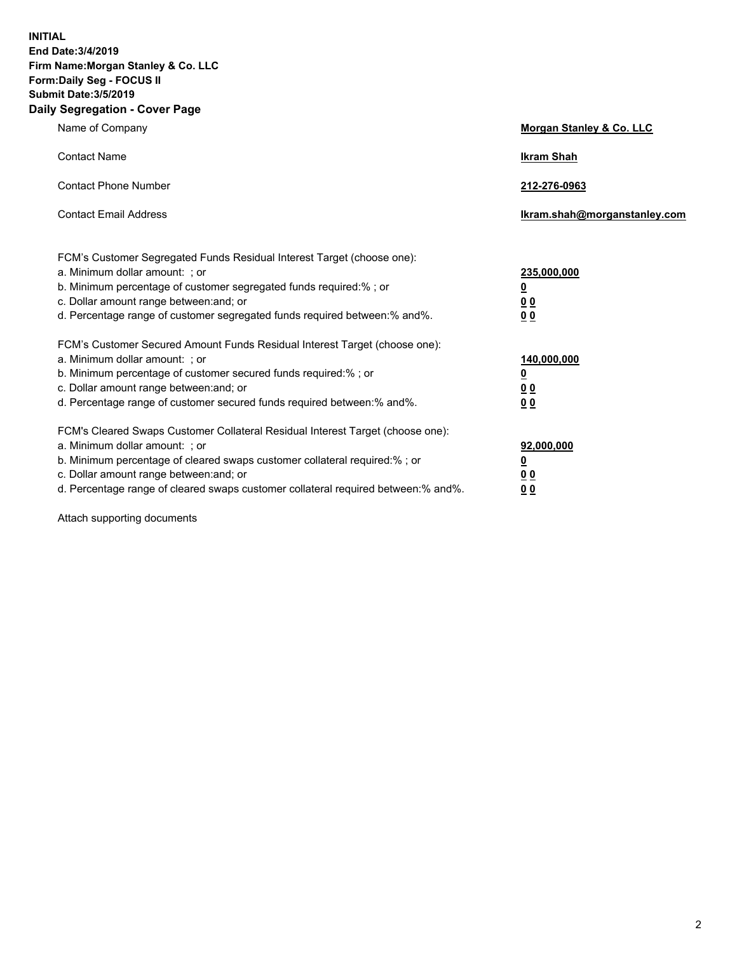**INITIAL End Date:3/4/2019 Firm Name:Morgan Stanley & Co. LLC Form:Daily Seg - FOCUS II Submit Date:3/5/2019 Daily Segregation - Cover Page**

| Name of Company                                                                                                                                                                                                                                                                                                                | Morgan Stanley & Co. LLC                        |
|--------------------------------------------------------------------------------------------------------------------------------------------------------------------------------------------------------------------------------------------------------------------------------------------------------------------------------|-------------------------------------------------|
| <b>Contact Name</b>                                                                                                                                                                                                                                                                                                            | <b>Ikram Shah</b>                               |
| <b>Contact Phone Number</b>                                                                                                                                                                                                                                                                                                    | 212-276-0963                                    |
| <b>Contact Email Address</b>                                                                                                                                                                                                                                                                                                   | Ikram.shah@morganstanley.com                    |
| FCM's Customer Segregated Funds Residual Interest Target (choose one):<br>a. Minimum dollar amount: ; or<br>b. Minimum percentage of customer segregated funds required:% ; or<br>c. Dollar amount range between: and; or<br>d. Percentage range of customer segregated funds required between:% and%.                         | 235,000,000<br><u>0</u><br><u>00</u><br>00      |
| FCM's Customer Secured Amount Funds Residual Interest Target (choose one):<br>a. Minimum dollar amount: ; or<br>b. Minimum percentage of customer secured funds required:%; or<br>c. Dollar amount range between: and; or<br>d. Percentage range of customer secured funds required between:% and%.                            | 140,000,000<br><u>0</u><br>0 <sub>0</sub><br>00 |
| FCM's Cleared Swaps Customer Collateral Residual Interest Target (choose one):<br>a. Minimum dollar amount: ; or<br>b. Minimum percentage of cleared swaps customer collateral required:% ; or<br>c. Dollar amount range between: and; or<br>d. Percentage range of cleared swaps customer collateral required between:% and%. | 92,000,000<br><u>0</u><br>0 Q<br>0 <sub>0</sub> |

Attach supporting documents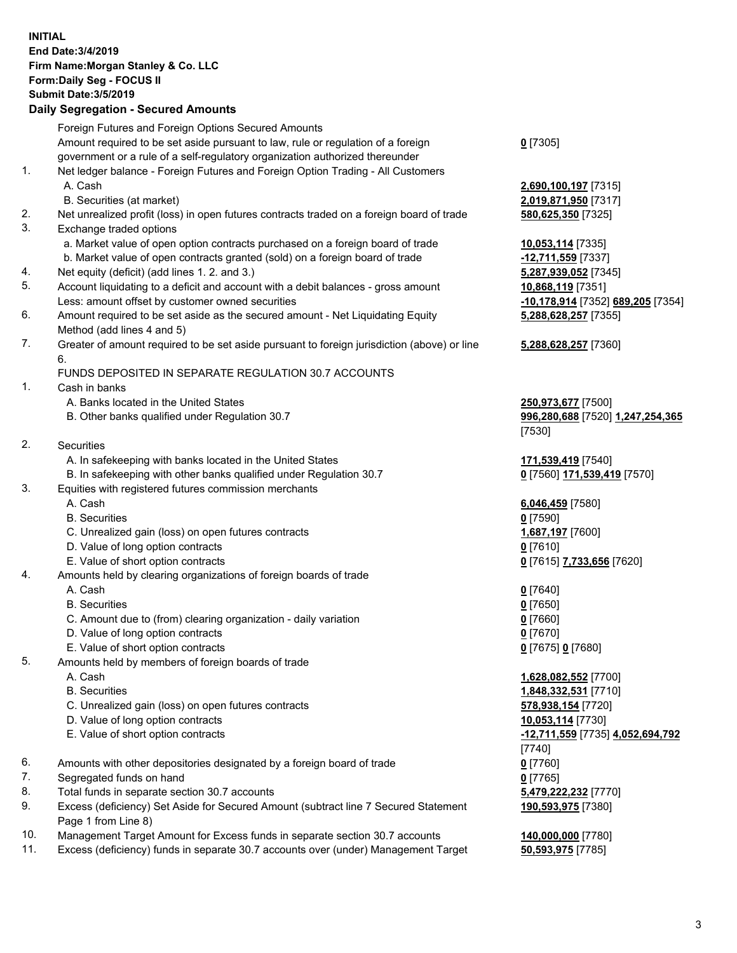## **INITIAL End Date:3/4/2019 Firm Name:Morgan Stanley & Co. LLC Form:Daily Seg - FOCUS II Submit Date:3/5/2019 Daily Segregation - Secured Amounts** Foreign Futures and Foreign Options Secured Amounts Amount required to be set aside pursuant to law, rule or regulation of a foreign government or a rule of a self-regulatory organization authorized thereunder **0** [7305] 1. Net ledger balance - Foreign Futures and Foreign Option Trading - All Customers A. Cash **2,690,100,197** [7315] B. Securities (at market) **2,019,871,950** [7317] 2. Net unrealized profit (loss) in open futures contracts traded on a foreign board of trade **580,625,350** [7325] 3. Exchange traded options a. Market value of open option contracts purchased on a foreign board of trade **10,053,114** [7335] b. Market value of open contracts granted (sold) on a foreign board of trade **-12,711,559** [7337] 4. Net equity (deficit) (add lines 1. 2. and 3.) **5,287,939,052** [7345] 5. Account liquidating to a deficit and account with a debit balances - gross amount **10,868,119** [7351] Less: amount offset by customer owned securities **-10,178,914** [7352] **689,205** [7354] 6. Amount required to be set aside as the secured amount - Net Liquidating Equity Method (add lines 4 and 5) **5,288,628,257** [7355] 7. Greater of amount required to be set aside pursuant to foreign jurisdiction (above) or line 6. **5,288,628,257** [7360] FUNDS DEPOSITED IN SEPARATE REGULATION 30.7 ACCOUNTS 1. Cash in banks A. Banks located in the United States **250,973,677** [7500] B. Other banks qualified under Regulation 30.7 **996,280,688** [7520] **1,247,254,365** [7530] 2. Securities A. In safekeeping with banks located in the United States **171,539,419** [7540] B. In safekeeping with other banks qualified under Regulation 30.7 **0** [7560] **171,539,419** [7570] 3. Equities with registered futures commission merchants A. Cash **6,046,459** [7580] B. Securities **0** [7590] C. Unrealized gain (loss) on open futures contracts **1,687,197** [7600] D. Value of long option contracts **0** [7610] E. Value of short option contracts **0** [7615] **7,733,656** [7620] 4. Amounts held by clearing organizations of foreign boards of trade A. Cash **0** [7640] B. Securities **0** [7650] C. Amount due to (from) clearing organization - daily variation **0** [7660] D. Value of long option contracts **0** [7670] E. Value of short option contracts **0** [7675] **0** [7680] 5. Amounts held by members of foreign boards of trade A. Cash **1,628,082,552** [7700] B. Securities **1,848,332,531** [7710] C. Unrealized gain (loss) on open futures contracts **578,938,154** [7720] D. Value of long option contracts **10,053,114** [7730] E. Value of short option contracts **-12,711,559** [7735] **4,052,694,792** [7740] 6. Amounts with other depositories designated by a foreign board of trade **0** [7760] 7. Segregated funds on hand **0** [7765] 8. Total funds in separate section 30.7 accounts **5,479,222,232** [7770] 9. Excess (deficiency) Set Aside for Secured Amount (subtract line 7 Secured Statement Page 1 from Line 8) **190,593,975** [7380] 10. Management Target Amount for Excess funds in separate section 30.7 accounts **140,000,000** [7780]

11. Excess (deficiency) funds in separate 30.7 accounts over (under) Management Target **50,593,975** [7785]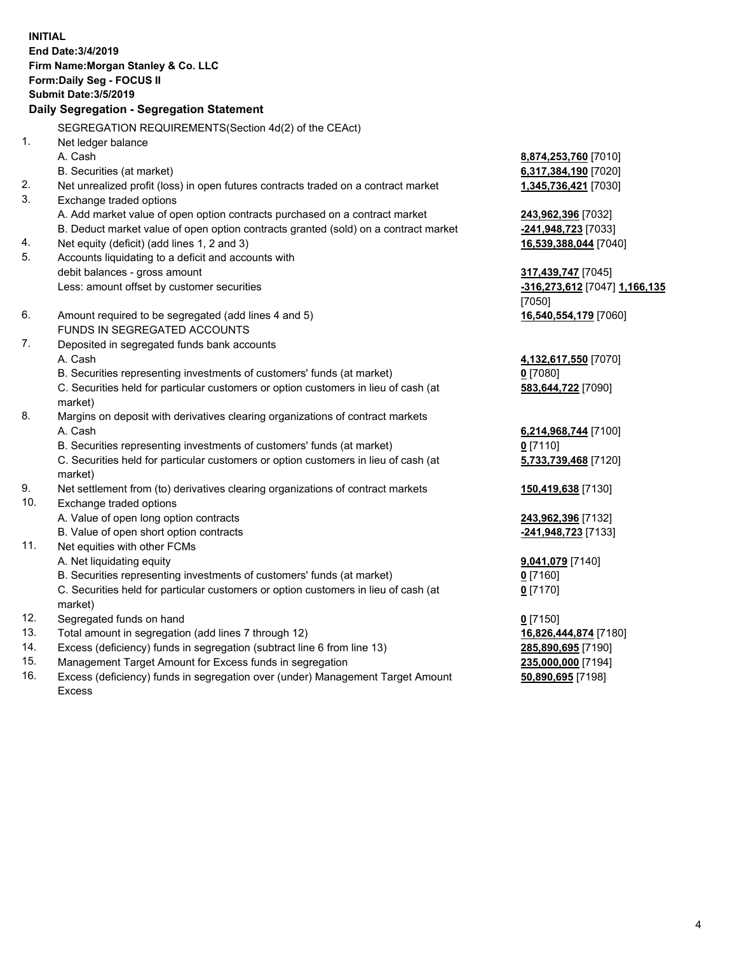**INITIAL End Date:3/4/2019 Firm Name:Morgan Stanley & Co. LLC Form:Daily Seg - FOCUS II Submit Date:3/5/2019 Daily Segregation - Segregation Statement** SEGREGATION REQUIREMENTS(Section 4d(2) of the CEAct) 1. Net ledger balance A. Cash **8,874,253,760** [7010] B. Securities (at market) **6,317,384,190** [7020] 2. Net unrealized profit (loss) in open futures contracts traded on a contract market **1,345,736,421** [7030] 3. Exchange traded options A. Add market value of open option contracts purchased on a contract market **243,962,396** [7032] B. Deduct market value of open option contracts granted (sold) on a contract market **-241,948,723** [7033] 4. Net equity (deficit) (add lines 1, 2 and 3) **16,539,388,044** [7040] 5. Accounts liquidating to a deficit and accounts with debit balances - gross amount **317,439,747** [7045] Less: amount offset by customer securities **-316,273,612** [7047] **1,166,135** [7050] 6. Amount required to be segregated (add lines 4 and 5) **16,540,554,179** [7060] FUNDS IN SEGREGATED ACCOUNTS 7. Deposited in segregated funds bank accounts A. Cash **4,132,617,550** [7070] B. Securities representing investments of customers' funds (at market) **0** [7080] C. Securities held for particular customers or option customers in lieu of cash (at market) **583,644,722** [7090] 8. Margins on deposit with derivatives clearing organizations of contract markets A. Cash **6,214,968,744** [7100] B. Securities representing investments of customers' funds (at market) **0** [7110] C. Securities held for particular customers or option customers in lieu of cash (at market) **5,733,739,468** [7120] 9. Net settlement from (to) derivatives clearing organizations of contract markets **150,419,638** [7130] 10. Exchange traded options A. Value of open long option contracts **243,962,396** [7132] B. Value of open short option contracts **-241,948,723** [7133] 11. Net equities with other FCMs A. Net liquidating equity **9,041,079** [7140] B. Securities representing investments of customers' funds (at market) **0** [7160] C. Securities held for particular customers or option customers in lieu of cash (at market) **0** [7170] 12. Segregated funds on hand **0** [7150] 13. Total amount in segregation (add lines 7 through 12) **16,826,444,874** [7180] 14. Excess (deficiency) funds in segregation (subtract line 6 from line 13) **285,890,695** [7190]

- 15. Management Target Amount for Excess funds in segregation **235,000,000** [7194]
- 16. Excess (deficiency) funds in segregation over (under) Management Target Amount Excess

**50,890,695** [7198]